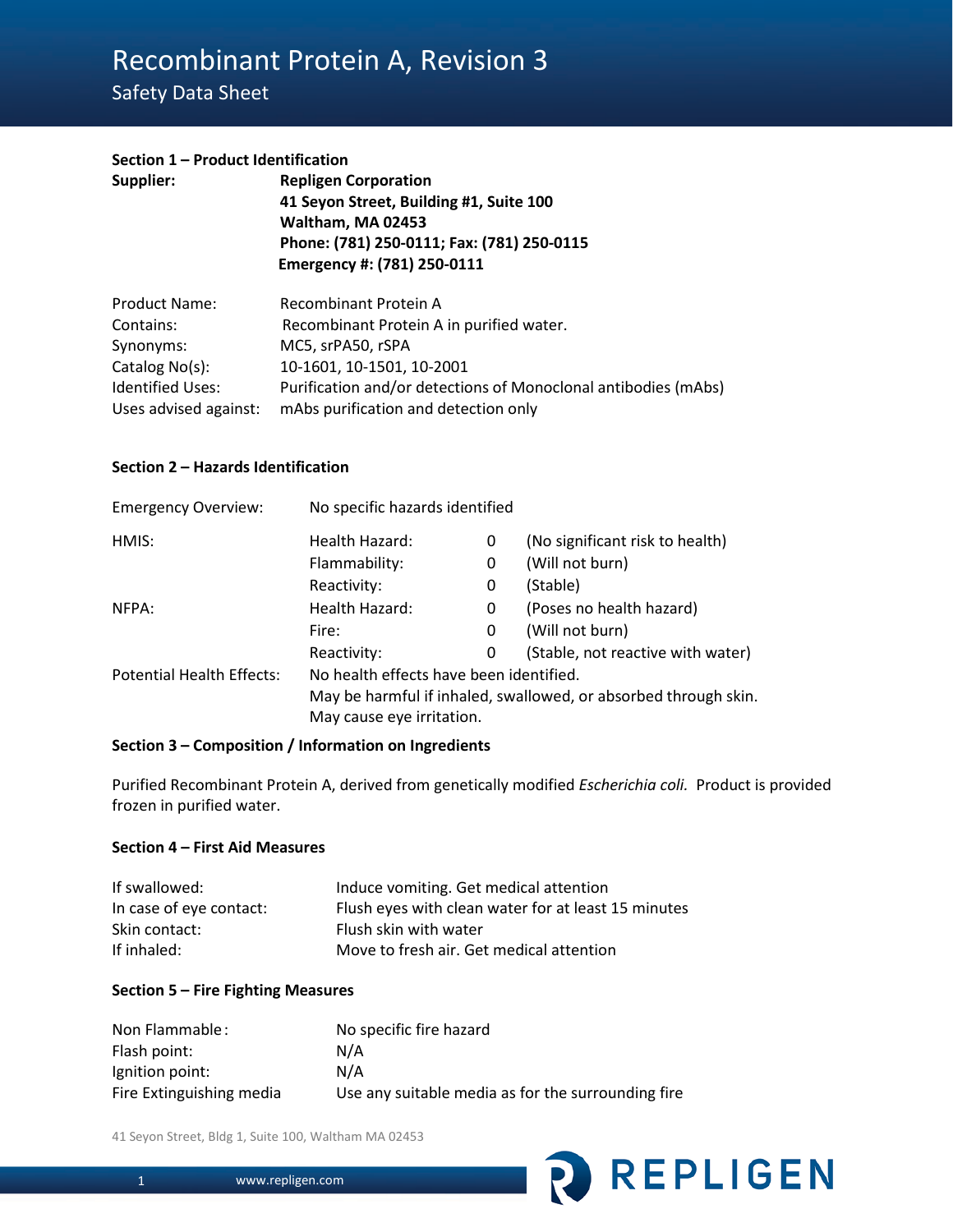# Recombinant Protein A, Revision 3

# Safety Data Sheet

#### **Section 1 – Product Identification**

| Supplier: | <b>Repligen Corporation</b>                |
|-----------|--------------------------------------------|
|           | 41 Seyon Street, Building #1, Suite 100    |
|           | Waltham, MA 02453                          |
|           | Phone: (781) 250-0111; Fax: (781) 250-0115 |
|           | Emergency #: (781) 250-0111                |
|           |                                            |

| <b>Product Name:</b>  | Recombinant Protein A                                          |
|-----------------------|----------------------------------------------------------------|
| Contains:             | Recombinant Protein A in purified water.                       |
| Synonyms:             | MC5, srPA50, rSPA                                              |
| Catalog No(s):        | 10-1601, 10-1501, 10-2001                                      |
| Identified Uses:      | Purification and/or detections of Monoclonal antibodies (mAbs) |
| Uses advised against: | mAbs purification and detection only                           |

#### **Section 2 – Hazards Identification**

| <b>Emergency Overview:</b>       | No specific hazards identified                                  |   |                                   |
|----------------------------------|-----------------------------------------------------------------|---|-----------------------------------|
| HMIS:                            | Health Hazard:                                                  | 0 | (No significant risk to health)   |
|                                  | Flammability:                                                   | 0 | (Will not burn)                   |
|                                  | Reactivity:                                                     | 0 | (Stable)                          |
| NFPA:                            | Health Hazard:                                                  | 0 | (Poses no health hazard)          |
|                                  | Fire:                                                           | 0 | (Will not burn)                   |
|                                  | Reactivity:                                                     | 0 | (Stable, not reactive with water) |
| <b>Potential Health Effects:</b> | No health effects have been identified.                         |   |                                   |
|                                  | May be harmful if inhaled, swallowed, or absorbed through skin. |   |                                   |
|                                  | May cause eye irritation.                                       |   |                                   |

#### **Section 3 – Composition / Information on Ingredients**

Purified Recombinant Protein A, derived from genetically modified *Escherichia coli.* Product is provided frozen in purified water.

#### **Section 4 – First Aid Measures**

| If swallowed:           | Induce vomiting. Get medical attention              |
|-------------------------|-----------------------------------------------------|
| In case of eye contact: | Flush eyes with clean water for at least 15 minutes |
| Skin contact:           | Flush skin with water                               |
| If inhaled:             | Move to fresh air. Get medical attention            |

#### **Section 5 – Fire Fighting Measures**

| Non Flammable:           | No specific fire hazard                            |
|--------------------------|----------------------------------------------------|
| Flash point:             | N/A                                                |
| Ignition point:          | N/A                                                |
| Fire Extinguishing media | Use any suitable media as for the surrounding fire |

41 Seyon Street, Bldg 1, Suite 100, Waltham MA 02453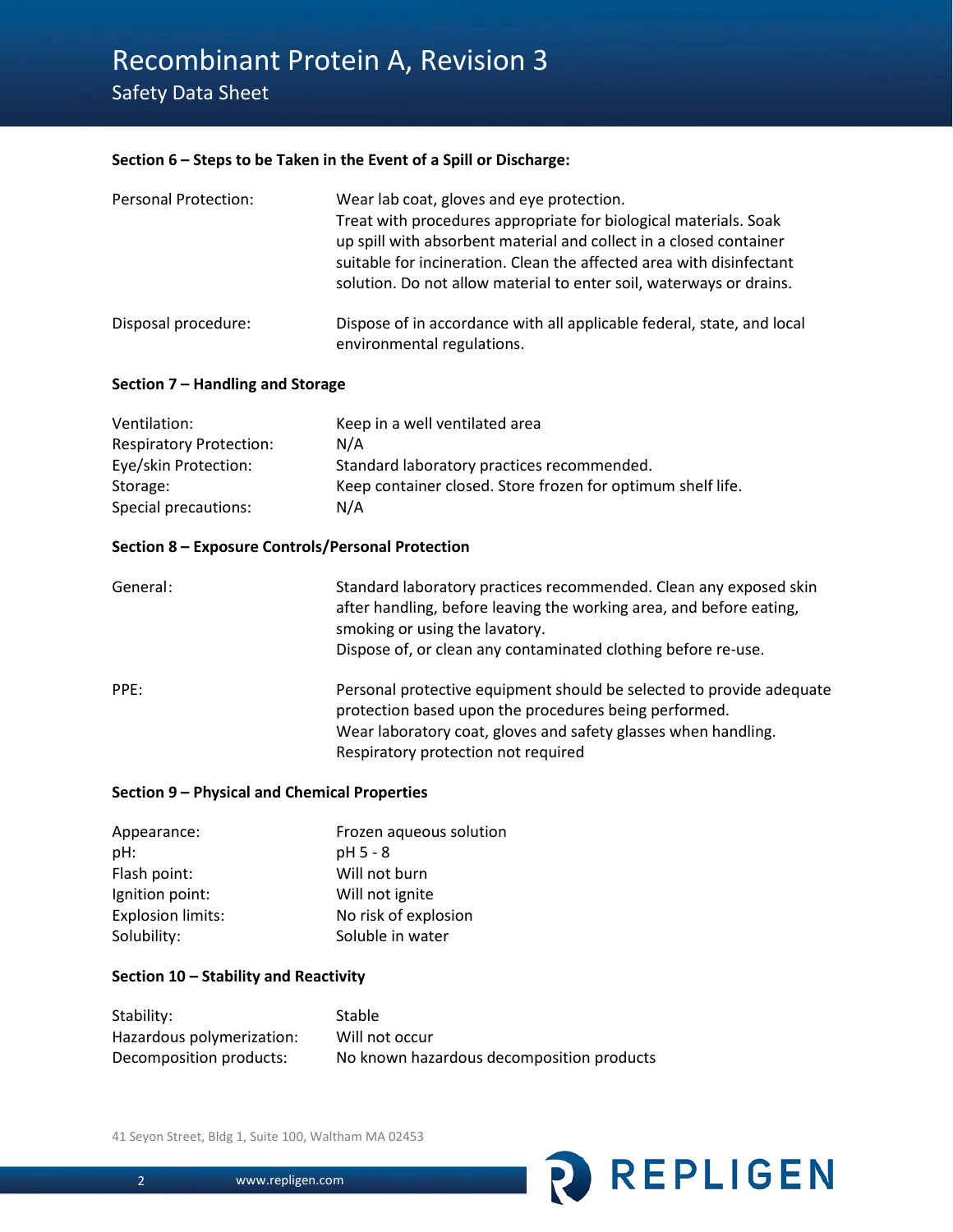Safety Data Sheet

# **Section 6 – Steps to be Taken in the Event of a Spill or Discharge:**

| <b>Personal Protection:</b> | Wear lab coat, gloves and eye protection.<br>Treat with procedures appropriate for biological materials. Soak<br>up spill with absorbent material and collect in a closed container<br>suitable for incineration. Clean the affected area with disinfectant<br>solution. Do not allow material to enter soil, waterways or drains. |
|-----------------------------|------------------------------------------------------------------------------------------------------------------------------------------------------------------------------------------------------------------------------------------------------------------------------------------------------------------------------------|
| Disposal procedure:         | Dispose of in accordance with all applicable federal, state, and local<br>environmental regulations.                                                                                                                                                                                                                               |

# **Section 7 – Handling and Storage**

| Ventilation:                   | Keep in a well ventilated area                              |
|--------------------------------|-------------------------------------------------------------|
| <b>Respiratory Protection:</b> | N/A                                                         |
| Eye/skin Protection:           | Standard laboratory practices recommended.                  |
| Storage:                       | Keep container closed. Store frozen for optimum shelf life. |
| Special precautions:           | N/A                                                         |

# **Section 8 – Exposure Controls/Personal Protection**

| General: | Standard laboratory practices recommended. Clean any exposed skin<br>after handling, before leaving the working area, and before eating,<br>smoking or using the lavatory.<br>Dispose of, or clean any contaminated clothing before re-use. |
|----------|---------------------------------------------------------------------------------------------------------------------------------------------------------------------------------------------------------------------------------------------|
| PPE:     | Personal protective equipment should be selected to provide adequate<br>protection based upon the procedures being performed.<br>Wear laboratory coat, gloves and safety glasses when handling.<br>Respiratory protection not required      |

**REPLIGEN** 

# **Section 9 – Physical and Chemical Properties**

| Appearance:              | Frozen aqueous solution |
|--------------------------|-------------------------|
| pH:                      | pH 5 - 8                |
| Flash point:             | Will not burn           |
| Ignition point:          | Will not ignite         |
| <b>Explosion limits:</b> | No risk of explosion    |
| Solubility:              | Soluble in water        |

# **Section 10 – Stability and Reactivity**

| Stability:                | <b>Stable</b>                             |
|---------------------------|-------------------------------------------|
| Hazardous polymerization: | Will not occur                            |
| Decomposition products:   | No known hazardous decomposition products |

41 Seyon Street, Bldg 1, Suite 100, Waltham MA 02453